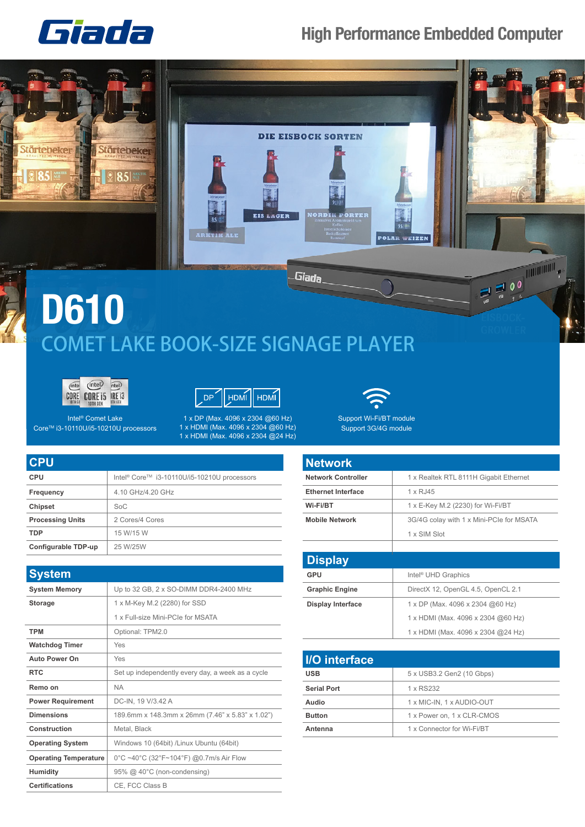

## **High Performance Embedded Computer**







Intel® Comet Lake Core<sup>™</sup> i3-10110U/i5-10210U processors

1 x DP (Max. 4096 x 2304 @60 Hz) 1 x HDMI (Max. 4096 x 2304 @60 Hz) 1 x HDMI (Max. 4096 x 2304 @24 Hz)



Support Wi-Fi/BT module Support 3G/4G module

| <b>CPU</b>              |                                                         |
|-------------------------|---------------------------------------------------------|
| <b>CPU</b>              | Intel <sup>®</sup> Core™ i3-10110U/i5-10210U processors |
| Frequency               | 4.10 GHz/4.20 GHz                                       |
| <b>Chipset</b>          | SoC                                                     |
| <b>Processing Units</b> | 2 Cores/4 Cores                                         |
| <b>TDP</b>              | 15 W/15 W                                               |
| Configurable TDP-up     | 25 W/25W                                                |

| <b>System</b>                |                                                   |
|------------------------------|---------------------------------------------------|
| <b>System Memory</b>         | Up to 32 GB, 2 x SO-DIMM DDR4-2400 MHz            |
| <b>Storage</b>               | 1 x M-Key M.2 (2280) for SSD                      |
|                              | 1 x Full-size Mini-PCIe for MSATA                 |
| <b>TPM</b>                   | Optional: TPM2.0                                  |
| <b>Watchdog Timer</b>        | Yes                                               |
| <b>Auto Power On</b>         | Yes                                               |
| <b>RTC</b>                   | Set up independently every day, a week as a cycle |
| Remo on                      | <b>NA</b>                                         |
| <b>Power Requirement</b>     | DC-IN, 19 V/3.42 A                                |
| <b>Dimensions</b>            | 189.6mm x 148.3mm x 26mm (7.46" x 5.83" x 1.02")  |
| Construction                 | Metal, Black                                      |
| <b>Operating System</b>      | Windows 10 (64bit) /Linux Ubuntu (64bit)          |
| <b>Operating Temperature</b> | 0°C ~40°C (32°F~104°F) @0.7m/s Air Flow           |
| <b>Humidity</b>              | 95% @ 40°C (non-condensing)                       |
| <b>Certifications</b>        | CE, FCC Class B                                   |

| <b>Network</b>            |                                          |
|---------------------------|------------------------------------------|
| <b>Network Controller</b> | 1 x Realtek RTL 8111H Gigabit Ethernet   |
| <b>Ethernet Interface</b> | 1 x RJ45                                 |
| Wi-Fi/BT                  | 1 x E-Key M.2 (2230) for Wi-Fi/BT        |
| <b>Mobile Network</b>     | 3G/4G colay with 1 x Mini-PCIe for MSATA |
|                           | 1 x SIM Slot                             |
|                           |                                          |
| <b>Display</b>            |                                          |
| GPU                       | Intel <sup>®</sup> UHD Graphics          |
| <b>Graphic Engine</b>     | DirectX 12, OpenGL 4.5, OpenCL 2.1       |
| <b>Display Interface</b>  | 1 x DP (Max. 4096 x 2304 @60 Hz)         |
|                           | 1 x HDMI (Max. 4096 x 2304 @60 Hz)       |
|                           | 1 x HDMI (Max. 4096 x 2304 @24 Hz)       |
|                           |                                          |

| 5 x USB3.2 Gen2 (10 Gbps)<br><b>USB</b>     |
|---------------------------------------------|
|                                             |
| <b>Serial Port</b><br>1 x RS232             |
| 1 x MIC-IN, 1 x AUDIO-OUT<br>Audio          |
| 1 x Power on, 1 x CLR-CMOS<br><b>Button</b> |
| 1 x Connector for Wi-Fi/BT<br>Antenna       |